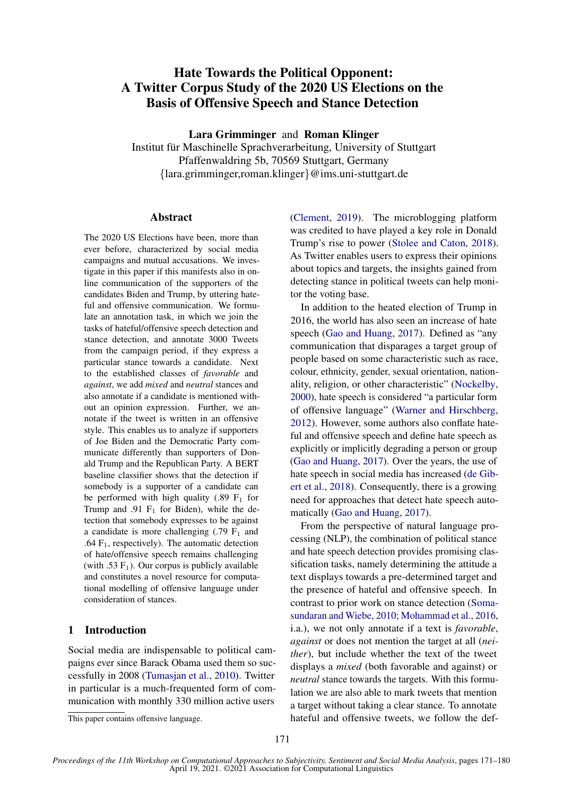# Hate Towards the Political Opponent: A Twitter Corpus Study of the 2020 US Elections on the Basis of Offensive Speech and Stance Detection

Lara Grimminger and Roman Klinger

Institut für Maschinelle Sprachverarbeitung, University of Stuttgart Pfaffenwaldring 5b, 70569 Stuttgart, Germany {lara.grimminger,roman.klinger}@ims.uni-stuttgart.de

# Abstract

The 2020 US Elections have been, more than ever before, characterized by social media campaigns and mutual accusations. We investigate in this paper if this manifests also in online communication of the supporters of the candidates Biden and Trump, by uttering hateful and offensive communication. We formulate an annotation task, in which we join the tasks of hateful/offensive speech detection and stance detection, and annotate 3000 Tweets from the campaign period, if they express a particular stance towards a candidate. Next to the established classes of *favorable* and *against*, we add *mixed* and *neutral* stances and also annotate if a candidate is mentioned without an opinion expression. Further, we annotate if the tweet is written in an offensive style. This enables us to analyze if supporters of Joe Biden and the Democratic Party communicate differently than supporters of Donald Trump and the Republican Party. A BERT baseline classifier shows that the detection if somebody is a supporter of a candidate can be performed with high quality  $(.89 \text{ F}_1 \text{ for }$ Trump and .91  $F_1$  for Biden), while the detection that somebody expresses to be against a candidate is more challenging  $(.79 \text{ F}_1 \text{ and }$ .64  $F_1$ , respectively). The automatic detection of hate/offensive speech remains challenging (with .53  $F_1$ ). Our corpus is publicly available and constitutes a novel resource for computational modelling of offensive language under consideration of stances.

# 1 Introduction

Social media are indispensable to political campaigns ever since Barack Obama used them so successfully in 2008 [\(Tumasjan et al.,](#page-9-0) [2010\)](#page-9-0). Twitter in particular is a much-frequented form of communication with monthly 330 million active users

[\(Clement,](#page-8-0) [2019\)](#page-8-0). The microblogging platform was credited to have played a key role in Donald Trump's rise to power [\(Stolee and Caton,](#page-9-1) [2018\)](#page-9-1). As Twitter enables users to express their opinions about topics and targets, the insights gained from detecting stance in political tweets can help monitor the voting base.

In addition to the heated election of Trump in 2016, the world has also seen an increase of hate speech [\(Gao and Huang,](#page-8-1) [2017\)](#page-8-1). Defined as "any communication that disparages a target group of people based on some characteristic such as race, colour, ethnicity, gender, sexual orientation, nationality, religion, or other characteristic" [\(Nockelby,](#page-9-2) [2000\)](#page-9-2), hate speech is considered "a particular form of offensive language" [\(Warner and Hirschberg,](#page-9-3) [2012\)](#page-9-3). However, some authors also conflate hateful and offensive speech and define hate speech as explicitly or implicitly degrading a person or group [\(Gao and Huang,](#page-8-1) [2017\)](#page-8-1). Over the years, the use of hate speech in social media has increased [\(de Gib](#page-8-2)[ert et al.,](#page-8-2) [2018\)](#page-8-2). Consequently, there is a growing need for approaches that detect hate speech automatically [\(Gao and Huang,](#page-8-1) [2017\)](#page-8-1).

From the perspective of natural language processing (NLP), the combination of political stance and hate speech detection provides promising classification tasks, namely determining the attitude a text displays towards a pre-determined target and the presence of hateful and offensive speech. In contrast to prior work on stance detection [\(Soma](#page-9-4)[sundaran and Wiebe,](#page-9-4) [2010;](#page-9-4) [Mohammad et al.,](#page-9-5) [2016,](#page-9-5) i.a.), we not only annotate if a text is *favorable*, *against* or does not mention the target at all (*neither*), but include whether the text of the tweet displays a *mixed* (both favorable and against) or *neutral* stance towards the targets. With this formulation we are also able to mark tweets that mention a target without taking a clear stance. To annotate hateful and offensive tweets, we follow the def-

This paper contains offensive language.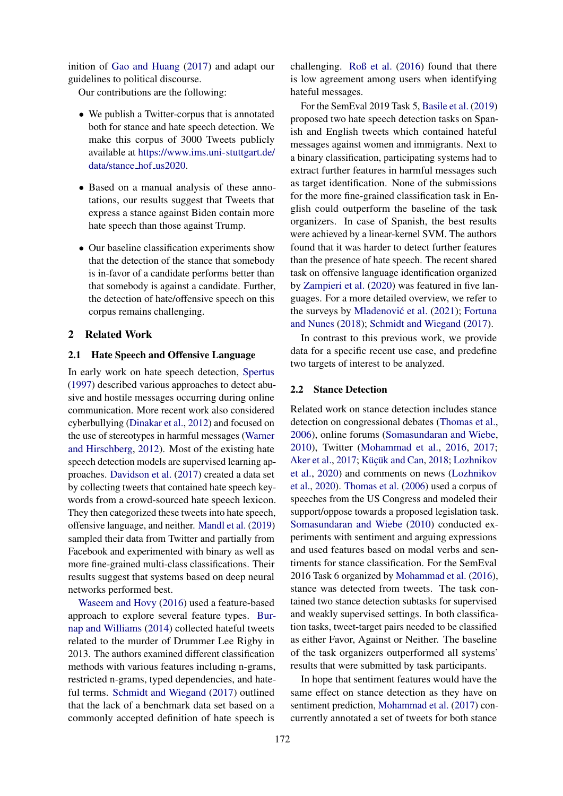inition of [Gao and Huang](#page-8-1) [\(2017\)](#page-8-1) and adapt our guidelines to political discourse.

Our contributions are the following:

- We publish a Twitter-corpus that is annotated both for stance and hate speech detection. We make this corpus of 3000 Tweets publicly available at [https://www.ims.uni-stuttgart.de/](https://www.ims.uni-stuttgart.de/data/stance_hof_us2020) [data/stance](https://www.ims.uni-stuttgart.de/data/stance_hof_us2020) hof us2020.
- Based on a manual analysis of these annotations, our results suggest that Tweets that express a stance against Biden contain more hate speech than those against Trump.
- Our baseline classification experiments show that the detection of the stance that somebody is in-favor of a candidate performs better than that somebody is against a candidate. Further, the detection of hate/offensive speech on this corpus remains challenging.

#### 2 Related Work

### 2.1 Hate Speech and Offensive Language

In early work on hate speech detection, [Spertus](#page-9-6) [\(1997\)](#page-9-6) described various approaches to detect abusive and hostile messages occurring during online communication. More recent work also considered cyberbullying [\(Dinakar et al.,](#page-8-3) [2012\)](#page-8-3) and focused on the use of stereotypes in harmful messages [\(Warner](#page-9-3) [and Hirschberg,](#page-9-3) [2012\)](#page-9-3). Most of the existing hate speech detection models are supervised learning approaches. [Davidson et al.](#page-8-4) [\(2017\)](#page-8-4) created a data set by collecting tweets that contained hate speech keywords from a crowd-sourced hate speech lexicon. They then categorized these tweets into hate speech, offensive language, and neither. [Mandl et al.](#page-8-5) [\(2019\)](#page-8-5) sampled their data from Twitter and partially from Facebook and experimented with binary as well as more fine-grained multi-class classifications. Their results suggest that systems based on deep neural networks performed best.

[Waseem and Hovy](#page-9-7) [\(2016\)](#page-9-7) used a feature-based approach to explore several feature types. [Bur](#page-8-6)[nap and Williams](#page-8-6) [\(2014\)](#page-8-6) collected hateful tweets related to the murder of Drummer Lee Rigby in 2013. The authors examined different classification methods with various features including n-grams, restricted n-grams, typed dependencies, and hateful terms. [Schmidt and Wiegand](#page-9-8) [\(2017\)](#page-9-8) outlined that the lack of a benchmark data set based on a commonly accepted definition of hate speech is challenging. [Roß et al.](#page-9-9) [\(2016\)](#page-9-9) found that there is low agreement among users when identifying hateful messages.

For the SemEval 2019 Task 5, [Basile et al.](#page-8-7) [\(2019\)](#page-8-7) proposed two hate speech detection tasks on Spanish and English tweets which contained hateful messages against women and immigrants. Next to a binary classification, participating systems had to extract further features in harmful messages such as target identification. None of the submissions for the more fine-grained classification task in English could outperform the baseline of the task organizers. In case of Spanish, the best results were achieved by a linear-kernel SVM. The authors found that it was harder to detect further features than the presence of hate speech. The recent shared task on offensive language identification organized by [Zampieri et al.](#page-9-10) [\(2020\)](#page-9-10) was featured in five languages. For a more detailed overview, we refer to the surveys by Mladenović et al. [\(2021\)](#page-9-11); [Fortuna](#page-8-8) [and Nunes](#page-8-8) [\(2018\)](#page-8-8); [Schmidt and Wiegand](#page-9-8) [\(2017\)](#page-9-8).

In contrast to this previous work, we provide data for a specific recent use case, and predefine two targets of interest to be analyzed.

#### 2.2 Stance Detection

Related work on stance detection includes stance detection on congressional debates [\(Thomas et al.,](#page-9-12) [2006\)](#page-9-12), online forums [\(Somasundaran and Wiebe,](#page-9-4) [2010\)](#page-9-4), Twitter [\(Mohammad et al.,](#page-9-5) [2016,](#page-9-5) [2017;](#page-9-13) [Aker et al.,](#page-8-9) [2017;](#page-8-9) Küçük and Can, [2018;](#page-8-10) [Lozhnikov](#page-8-11) [et al.,](#page-8-11) [2020\)](#page-8-11) and comments on news [\(Lozhnikov](#page-8-11) [et al.,](#page-8-11) [2020\)](#page-8-11). [Thomas et al.](#page-9-12) [\(2006\)](#page-9-12) used a corpus of speeches from the US Congress and modeled their support/oppose towards a proposed legislation task. [Somasundaran and Wiebe](#page-9-4) [\(2010\)](#page-9-4) conducted experiments with sentiment and arguing expressions and used features based on modal verbs and sentiments for stance classification. For the SemEval 2016 Task 6 organized by [Mohammad et al.](#page-9-5) [\(2016\)](#page-9-5), stance was detected from tweets. The task contained two stance detection subtasks for supervised and weakly supervised settings. In both classification tasks, tweet-target pairs needed to be classified as either Favor, Against or Neither. The baseline of the task organizers outperformed all systems' results that were submitted by task participants.

In hope that sentiment features would have the same effect on stance detection as they have on sentiment prediction, [Mohammad et al.](#page-9-13) [\(2017\)](#page-9-13) concurrently annotated a set of tweets for both stance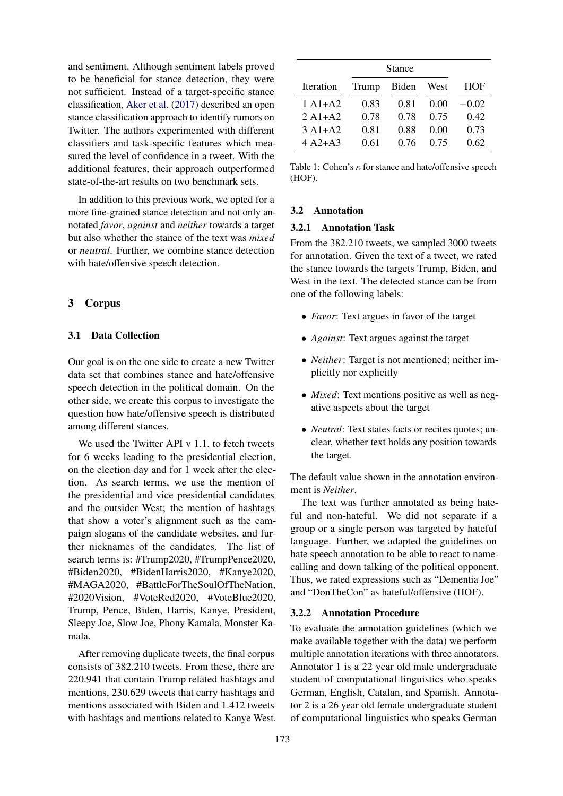and sentiment. Although sentiment labels proved to be beneficial for stance detection, they were not sufficient. Instead of a target-specific stance classification, [Aker et al.](#page-8-9) [\(2017\)](#page-8-9) described an open stance classification approach to identify rumors on Twitter. The authors experimented with different classifiers and task-specific features which measured the level of confidence in a tweet. With the additional features, their approach outperformed state-of-the-art results on two benchmark sets.

In addition to this previous work, we opted for a more fine-grained stance detection and not only annotated *favor*, *against* and *neither* towards a target but also whether the stance of the text was *mixed* or *neutral*. Further, we combine stance detection with hate/offensive speech detection.

# 3 Corpus

## 3.1 Data Collection

Our goal is on the one side to create a new Twitter data set that combines stance and hate/offensive speech detection in the political domain. On the other side, we create this corpus to investigate the question how hate/offensive speech is distributed among different stances.

We used the Twitter API v 1.1. to fetch tweets for 6 weeks leading to the presidential election, on the election day and for 1 week after the election. As search terms, we use the mention of the presidential and vice presidential candidates and the outsider West; the mention of hashtags that show a voter's alignment such as the campaign slogans of the candidate websites, and further nicknames of the candidates. The list of search terms is: #Trump2020, #TrumpPence2020, #Biden2020, #BidenHarris2020, #Kanye2020, #MAGA2020, #BattleForTheSoulOfTheNation, #2020Vision, #VoteRed2020, #VoteBlue2020, Trump, Pence, Biden, Harris, Kanye, President, Sleepy Joe, Slow Joe, Phony Kamala, Monster Kamala.

After removing duplicate tweets, the final corpus consists of 382.210 tweets. From these, there are 220.941 that contain Trump related hashtags and mentions, 230.629 tweets that carry hashtags and mentions associated with Biden and 1.412 tweets with hashtags and mentions related to Kanye West.

<span id="page-2-0"></span>

|           |       | <b>Stance</b> |      |         |
|-----------|-------|---------------|------|---------|
| Iteration | Trump | Biden         | West | HOF     |
| $1 A1+A2$ | 0.83  | 0.81          | 0.00 | $-0.02$ |
| $2A1+A2$  | 0.78  | 0.78          | 0.75 | 0.42    |
| $3A1+A2$  | 0.81  | 0.88          | 0.00 | 0.73    |
| $4 A2+A3$ | 0.61  | 0.76          | 0.75 | 0.62    |

Table 1: Cohen's  $\kappa$  for stance and hate/offensive speech (HOF).

### 3.2 Annotation

#### 3.2.1 Annotation Task

From the 382.210 tweets, we sampled 3000 tweets for annotation. Given the text of a tweet, we rated the stance towards the targets Trump, Biden, and West in the text. The detected stance can be from one of the following labels:

- *Favor*: Text argues in favor of the target
- *Against*: Text argues against the target
- *Neither*: Target is not mentioned; neither implicitly nor explicitly
- *Mixed*: Text mentions positive as well as negative aspects about the target
- *Neutral*: Text states facts or recites quotes; unclear, whether text holds any position towards the target.

The default value shown in the annotation environment is *Neither*.

The text was further annotated as being hateful and non-hateful. We did not separate if a group or a single person was targeted by hateful language. Further, we adapted the guidelines on hate speech annotation to be able to react to namecalling and down talking of the political opponent. Thus, we rated expressions such as "Dementia Joe" and "DonTheCon" as hateful/offensive (HOF).

#### 3.2.2 Annotation Procedure

To evaluate the annotation guidelines (which we make available together with the data) we perform multiple annotation iterations with three annotators. Annotator 1 is a 22 year old male undergraduate student of computational linguistics who speaks German, English, Catalan, and Spanish. Annotator 2 is a 26 year old female undergraduate student of computational linguistics who speaks German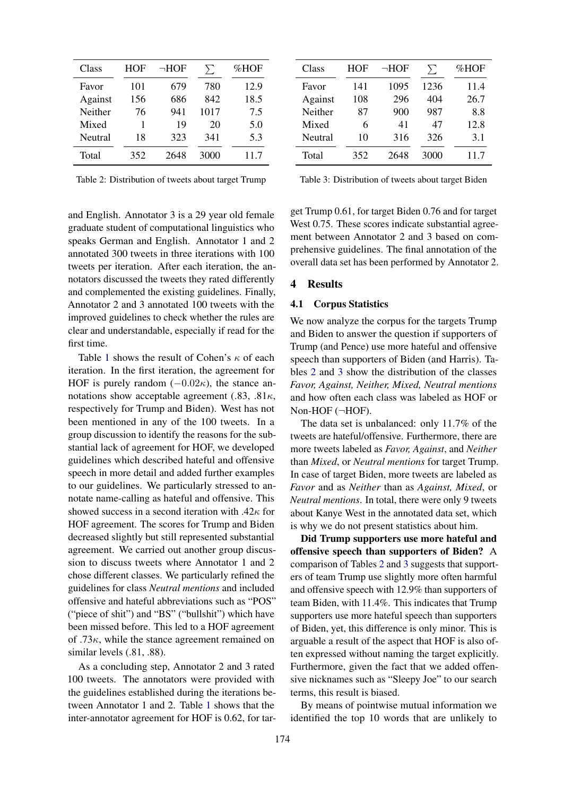<span id="page-3-0"></span>

| Class   | <b>HOF</b> | $\neg$ HOF | $\sum$ | %HOF |
|---------|------------|------------|--------|------|
| Favor   | 101        | 679        | 780    | 12.9 |
| Against | 156        | 686        | 842    | 18.5 |
| Neither | 76         | 941        | 1017   | 7.5  |
| Mixed   | 1          | 19         | 20     | 5.0  |
| Neutral | 18         | 323        | 341    | 5.3  |
| Total   | 352        | 2648       | 3000   | 11.7 |

Table 2: Distribution of tweets about target Trump

<span id="page-3-1"></span>

| Class   | HOF | $\neg$ HOF | $\sum$ | %HOF |
|---------|-----|------------|--------|------|
| Favor   | 141 | 1095       | 1236   | 11.4 |
| Against | 108 | 296        | 404    | 26.7 |
| Neither | 87  | 900        | 987    | 8.8  |
| Mixed   | 6   | 41         | 47     | 12.8 |
| Neutral | 10  | 316        | 326    | 3.1  |
| Total   | 352 | 2648       | 3000   | 11.7 |

Table 3: Distribution of tweets about target Biden

and English. Annotator 3 is a 29 year old female graduate student of computational linguistics who speaks German and English. Annotator 1 and 2 annotated 300 tweets in three iterations with 100 tweets per iteration. After each iteration, the annotators discussed the tweets they rated differently and complemented the existing guidelines. Finally, Annotator 2 and 3 annotated 100 tweets with the improved guidelines to check whether the rules are clear and understandable, especially if read for the first time.

Table [1](#page-2-0) shows the result of Cohen's  $\kappa$  of each iteration. In the first iteration, the agreement for HOF is purely random  $(-0.02\kappa)$ , the stance annotations show acceptable agreement (.83, .81 $\kappa$ , respectively for Trump and Biden). West has not been mentioned in any of the 100 tweets. In a group discussion to identify the reasons for the substantial lack of agreement for HOF, we developed guidelines which described hateful and offensive speech in more detail and added further examples to our guidelines. We particularly stressed to annotate name-calling as hateful and offensive. This showed success in a second iteration with  $.42\kappa$  for HOF agreement. The scores for Trump and Biden decreased slightly but still represented substantial agreement. We carried out another group discussion to discuss tweets where Annotator 1 and 2 chose different classes. We particularly refined the guidelines for class *Neutral mentions* and included offensive and hateful abbreviations such as "POS" ("piece of shit") and "BS" ("bullshit") which have been missed before. This led to a HOF agreement of  $.73\kappa$ , while the stance agreement remained on similar levels (.81, .88).

As a concluding step, Annotator 2 and 3 rated 100 tweets. The annotators were provided with the guidelines established during the iterations between Annotator 1 and 2. Table [1](#page-2-0) shows that the inter-annotator agreement for HOF is 0.62, for tar-

get Trump 0.61, for target Biden 0.76 and for target West 0.75. These scores indicate substantial agreement between Annotator 2 and 3 based on comprehensive guidelines. The final annotation of the overall data set has been performed by Annotator 2.

# 4 Results

## 4.1 Corpus Statistics

We now analyze the corpus for the targets Trump and Biden to answer the question if supporters of Trump (and Pence) use more hateful and offensive speech than supporters of Biden (and Harris). Tables [2](#page-3-0) and [3](#page-3-1) show the distribution of the classes *Favor, Against, Neither, Mixed, Neutral mentions* and how often each class was labeled as HOF or Non-HOF (¬HOF).

The data set is unbalanced: only 11.7% of the tweets are hateful/offensive. Furthermore, there are more tweets labeled as *Favor, Against*, and *Neither* than *Mixed*, or *Neutral mentions* for target Trump. In case of target Biden, more tweets are labeled as *Favor* and as *Neither* than as *Against, Mixed*, or *Neutral mentions*. In total, there were only 9 tweets about Kanye West in the annotated data set, which is why we do not present statistics about him.

Did Trump supporters use more hateful and offensive speech than supporters of Biden? A comparison of Tables [2](#page-3-0) and [3](#page-3-1) suggests that supporters of team Trump use slightly more often harmful and offensive speech with 12.9% than supporters of team Biden, with 11.4%. This indicates that Trump supporters use more hateful speech than supporters of Biden, yet, this difference is only minor. This is arguable a result of the aspect that HOF is also often expressed without naming the target explicitly. Furthermore, given the fact that we added offensive nicknames such as "Sleepy Joe" to our search terms, this result is biased.

By means of pointwise mutual information we identified the top 10 words that are unlikely to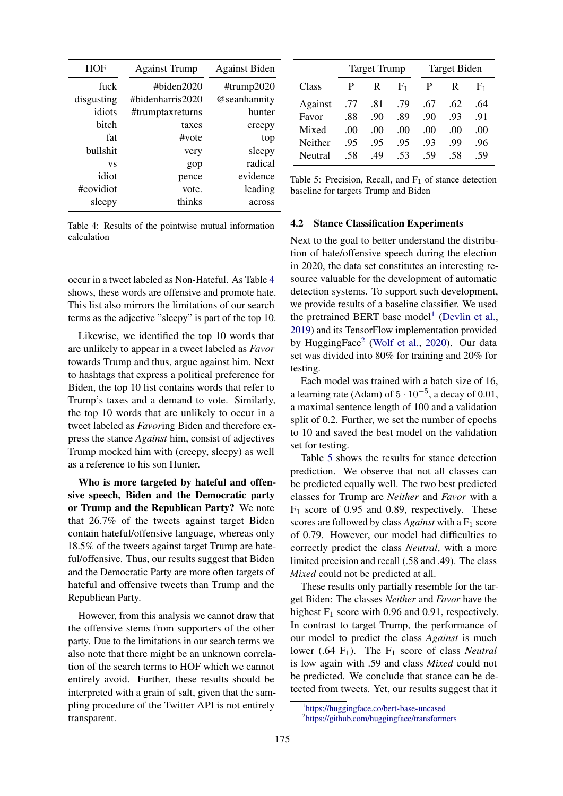<span id="page-4-0"></span>

| <b>HOF</b> | <b>Against Trump</b> | <b>Against Biden</b> |
|------------|----------------------|----------------------|
| fuck       | # $b$ iden $2020$    | #trump $2020$        |
| disgusting | #bidenharris2020#    | @seanhannity         |
| idiots     | #trumptaxreturns     | hunter               |
| bitch      | taxes                | creepy               |
| fat        | $\#$ vote            | top                  |
| bullshit   | very                 | sleepy               |
| VS         | gop                  | radical              |
| idiot      | pence                | evidence             |
| #covidiot  | vote.                | leading              |
| sleepy     | thinks               | across               |

Table 4: Results of the pointwise mutual information calculation

occur in a tweet labeled as Non-Hateful. As Table [4](#page-4-0) shows, these words are offensive and promote hate. This list also mirrors the limitations of our search terms as the adjective "sleepy" is part of the top 10.

Likewise, we identified the top 10 words that are unlikely to appear in a tweet labeled as *Favor* towards Trump and thus, argue against him. Next to hashtags that express a political preference for Biden, the top 10 list contains words that refer to Trump's taxes and a demand to vote. Similarly, the top 10 words that are unlikely to occur in a tweet labeled as *Favor*ing Biden and therefore express the stance *Against* him, consist of adjectives Trump mocked him with (creepy, sleepy) as well as a reference to his son Hunter.

Who is more targeted by hateful and offensive speech, Biden and the Democratic party or Trump and the Republican Party? We note that 26.7% of the tweets against target Biden contain hateful/offensive language, whereas only 18.5% of the tweets against target Trump are hateful/offensive. Thus, our results suggest that Biden and the Democratic Party are more often targets of hateful and offensive tweets than Trump and the Republican Party.

However, from this analysis we cannot draw that the offensive stems from supporters of the other party. Due to the limitations in our search terms we also note that there might be an unknown correlation of the search terms to HOF which we cannot entirely avoid. Further, these results should be interpreted with a grain of salt, given that the sampling procedure of the Twitter API is not entirely transparent.

<span id="page-4-3"></span>

|         |     | <b>Target Trump</b> |                |     | Target Biden |                |
|---------|-----|---------------------|----------------|-----|--------------|----------------|
| Class   | P   | R                   | F <sub>1</sub> |     | R            | F <sub>1</sub> |
| Against | .77 | .81                 | .79            | .67 | .62          | .64            |
| Favor   | .88 | .90                 | .89            | .90 | .93          | .91            |
| Mixed   | .00 | .00                 | .00            | .00 | .00          | .00            |
| Neither | .95 | .95                 | .95            | .93 | .99          | .96            |
| Neutral | .58 | .49                 | .53            | -59 | .58          | .59            |

Table 5: Precision, Recall, and  $F_1$  of stance detection baseline for targets Trump and Biden

### <span id="page-4-4"></span>4.2 Stance Classification Experiments

Next to the goal to better understand the distribution of hate/offensive speech during the election in 2020, the data set constitutes an interesting resource valuable for the development of automatic detection systems. To support such development, we provide results of a baseline classifier. We used the pretrained BERT base model<sup>[1](#page-4-1)</sup> [\(Devlin et al.,](#page-8-12) [2019\)](#page-8-12) and its TensorFlow implementation provided by HuggingFace<sup>[2](#page-4-2)</sup> [\(Wolf et al.,](#page-9-14) [2020\)](#page-9-14). Our data set was divided into 80% for training and 20% for testing.

Each model was trained with a batch size of 16, a learning rate (Adam) of  $5 \cdot 10^{-5}$ , a decay of 0.01, a maximal sentence length of 100 and a validation split of 0.2. Further, we set the number of epochs to 10 and saved the best model on the validation set for testing.

Table [5](#page-4-3) shows the results for stance detection prediction. We observe that not all classes can be predicted equally well. The two best predicted classes for Trump are *Neither* and *Favor* with a  $F_1$  score of 0.95 and 0.89, respectively. These scores are followed by class *Against* with a  $F_1$  score of 0.79. However, our model had difficulties to correctly predict the class *Neutral*, with a more limited precision and recall (.58 and .49). The class *Mixed* could not be predicted at all.

These results only partially resemble for the target Biden: The classes *Neither* and *Favor* have the highest  $F_1$  score with 0.96 and 0.91, respectively. In contrast to target Trump, the performance of our model to predict the class *Against* is much lower (.64  $F_1$ ). The  $F_1$  score of class *Neutral* is low again with .59 and class *Mixed* could not be predicted. We conclude that stance can be detected from tweets. Yet, our results suggest that it

<span id="page-4-2"></span><span id="page-4-1"></span><sup>1</sup> <https://huggingface.co/bert-base-uncased> 2 <https://github.com/huggingface/transformers>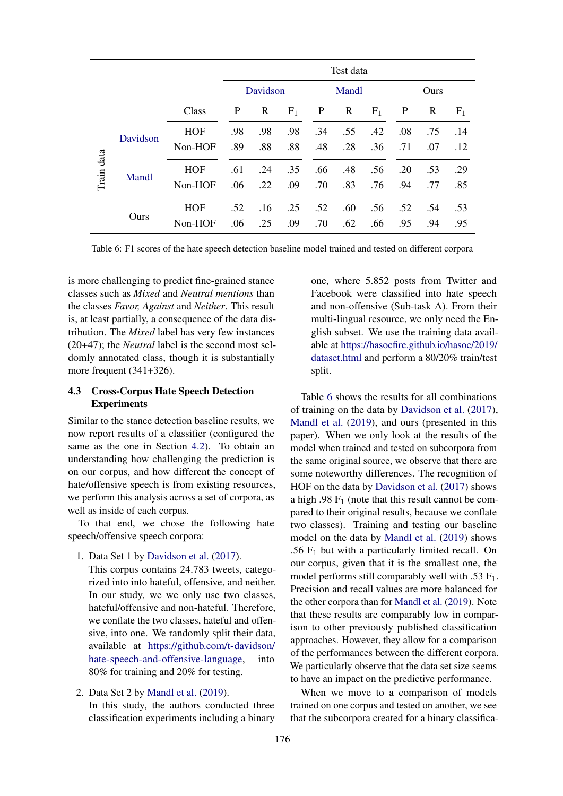<span id="page-5-0"></span>

|            |          |            | Test data |          |       |     |       |       |     |      |       |
|------------|----------|------------|-----------|----------|-------|-----|-------|-------|-----|------|-------|
|            |          |            |           | Davidson |       |     | Mandl |       |     | Ours |       |
|            |          | Class      | P         | R        | $F_1$ | P   | R     | $F_1$ | P   | R    | $F_1$ |
|            | Davidson | <b>HOF</b> | .98       | .98      | .98   | .34 | .55   | .42   | .08 | .75  | .14   |
|            |          | Non-HOF    | .89       | .88      | .88   | .48 | .28   | .36   | .71 | .07  | .12   |
| Train data | Mandl    | <b>HOF</b> | .61       | .24      | .35   | .66 | .48   | .56   | .20 | .53  | .29   |
|            |          | Non-HOF    | .06       | .22      | .09   | .70 | .83   | .76   | .94 | .77  | .85   |
|            |          | <b>HOF</b> | .52       | .16      | .25   | .52 | .60   | .56   | .52 | .54  | .53   |
|            | Ours     | Non-HOF    | .06       | .25      | .09   | .70 | .62   | .66   | .95 | .94  | .95   |

Table 6: F1 scores of the hate speech detection baseline model trained and tested on different corpora

is more challenging to predict fine-grained stance classes such as *Mixed* and *Neutral mentions* than the classes *Favor, Against* and *Neither*. This result is, at least partially, a consequence of the data distribution. The *Mixed* label has very few instances (20+47); the *Neutral* label is the second most seldomly annotated class, though it is substantially more frequent (341+326).

# 4.3 Cross-Corpus Hate Speech Detection Experiments

Similar to the stance detection baseline results, we now report results of a classifier (configured the same as the one in Section [4.2\)](#page-4-4). To obtain an understanding how challenging the prediction is on our corpus, and how different the concept of hate/offensive speech is from existing resources, we perform this analysis across a set of corpora, as well as inside of each corpus.

To that end, we chose the following hate speech/offensive speech corpora:

1. Data Set 1 by [Davidson et al.](#page-8-4) [\(2017\)](#page-8-4).

This corpus contains 24.783 tweets, categorized into into hateful, offensive, and neither. In our study, we we only use two classes, hateful/offensive and non-hateful. Therefore, we conflate the two classes, hateful and offensive, into one. We randomly split their data, available at [https://github.com/t-davidson/](https://github.com/t-davidson/hate-speech-and-offensive-language) [hate-speech-and-offensive-language,](https://github.com/t-davidson/hate-speech-and-offensive-language) into 80% for training and 20% for testing.

2. Data Set 2 by [Mandl et al.](#page-8-5) [\(2019\)](#page-8-5). In this study, the authors conducted three classification experiments including a binary

one, where 5.852 posts from Twitter and Facebook were classified into hate speech and non-offensive (Sub-task A). From their multi-lingual resource, we only need the English subset. We use the training data available at [https://hasocfire.github.io/hasoc/2019/](https://hasocfire.github.io/hasoc/2019/dataset.html) [dataset.html](https://hasocfire.github.io/hasoc/2019/dataset.html) and perform a 80/20% train/test split.

Table [6](#page-5-0) shows the results for all combinations of training on the data by [Davidson et al.](#page-8-4) [\(2017\)](#page-8-4), [Mandl et al.](#page-8-5) [\(2019\)](#page-8-5), and ours (presented in this paper). When we only look at the results of the model when trained and tested on subcorpora from the same original source, we observe that there are some noteworthy differences. The recognition of HOF on the data by [Davidson et al.](#page-8-4) [\(2017\)](#page-8-4) shows a high .98  $F_1$  (note that this result cannot be compared to their original results, because we conflate two classes). Training and testing our baseline model on the data by [Mandl et al.](#page-8-5) [\(2019\)](#page-8-5) shows .56  $F_1$  but with a particularly limited recall. On our corpus, given that it is the smallest one, the model performs still comparably well with .53  $F_1$ . Precision and recall values are more balanced for the other corpora than for [Mandl et al.](#page-8-5) [\(2019\)](#page-8-5). Note that these results are comparably low in comparison to other previously published classification approaches. However, they allow for a comparison of the performances between the different corpora. We particularly observe that the data set size seems to have an impact on the predictive performance.

When we move to a comparison of models trained on one corpus and tested on another, we see that the subcorpora created for a binary classifica-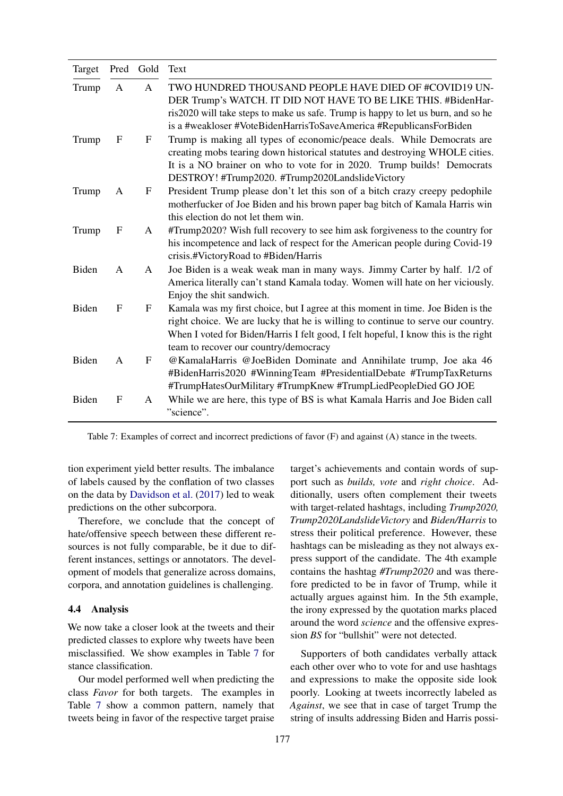<span id="page-6-0"></span>

| Target |             | Pred Gold    | Text                                                                                                                                                                                                                                                                                                |
|--------|-------------|--------------|-----------------------------------------------------------------------------------------------------------------------------------------------------------------------------------------------------------------------------------------------------------------------------------------------------|
| Trump  | A           | A            | TWO HUNDRED THOUSAND PEOPLE HAVE DIED OF #COVID19 UN-<br>DER Trump's WATCH. IT DID NOT HAVE TO BE LIKE THIS. #BidenHar-<br>ris2020 will take steps to make us safe. Trump is happy to let us burn, and so he<br>is a #weakloser #VoteBidenHarrisToSaveAmerica #RepublicansForBiden                  |
| Trump  | F           | F            | Trump is making all types of economic/peace deals. While Democrats are<br>creating mobs tearing down historical statutes and destroying WHOLE cities.<br>It is a NO brainer on who to vote for in 2020. Trump builds! Democrats<br>DESTROY! #Trump2020. #Trump2020LandslideVictory                  |
| Trump  | A           | F            | President Trump please don't let this son of a bitch crazy creepy pedophile<br>motherfucker of Joe Biden and his brown paper bag bitch of Kamala Harris win<br>this election do not let them win.                                                                                                   |
| Trump  | F           | A            | #Trump2020? Wish full recovery to see him ask forgiveness to the country for<br>his incompetence and lack of respect for the American people during Covid-19<br>crisis.#VictoryRoad to #Biden/Harris                                                                                                |
| Biden  | A           | $\mathsf{A}$ | Joe Biden is a weak weak man in many ways. Jimmy Carter by half. 1/2 of<br>America literally can't stand Kamala today. Women will hate on her viciously.<br>Enjoy the shit sandwich.                                                                                                                |
| Biden  | $\mathbf F$ | ${\bf F}$    | Kamala was my first choice, but I agree at this moment in time. Joe Biden is the<br>right choice. We are lucky that he is willing to continue to serve our country.<br>When I voted for Biden/Harris I felt good, I felt hopeful, I know this is the right<br>team to recover our country/democracy |
| Biden  | A           | F            | @KamalaHarris @JoeBiden Dominate and Annihilate trump, Joe aka 46<br>#BidenHarris2020 #WinningTeam #PresidentialDebate #TrumpTaxReturns<br>#TrumpHatesOurMilitary #TrumpKnew #TrumpLiedPeopleDied GO JOE                                                                                            |
| Biden  | F           | A            | While we are here, this type of BS is what Kamala Harris and Joe Biden call<br>"science".                                                                                                                                                                                                           |

Table 7: Examples of correct and incorrect predictions of favor (F) and against (A) stance in the tweets.

tion experiment yield better results. The imbalance of labels caused by the conflation of two classes on the data by [Davidson et al.](#page-8-4) [\(2017\)](#page-8-4) led to weak predictions on the other subcorpora.

Therefore, we conclude that the concept of hate/offensive speech between these different resources is not fully comparable, be it due to different instances, settings or annotators. The development of models that generalize across domains, corpora, and annotation guidelines is challenging.

### 4.4 Analysis

We now take a closer look at the tweets and their predicted classes to explore why tweets have been misclassified. We show examples in Table [7](#page-6-0) for stance classification.

Our model performed well when predicting the class *Favor* for both targets. The examples in Table [7](#page-6-0) show a common pattern, namely that tweets being in favor of the respective target praise target's achievements and contain words of support such as *builds, vote* and *right choice*. Additionally, users often complement their tweets with target-related hashtags, including *Trump2020, Trump2020LandslideVictory* and *Biden/Harris* to stress their political preference. However, these hashtags can be misleading as they not always express support of the candidate. The 4th example contains the hashtag *#Trump2020* and was therefore predicted to be in favor of Trump, while it actually argues against him. In the 5th example, the irony expressed by the quotation marks placed around the word *science* and the offensive expression *BS* for "bullshit" were not detected.

Supporters of both candidates verbally attack each other over who to vote for and use hashtags and expressions to make the opposite side look poorly. Looking at tweets incorrectly labeled as *Against*, we see that in case of target Trump the string of insults addressing Biden and Harris possi-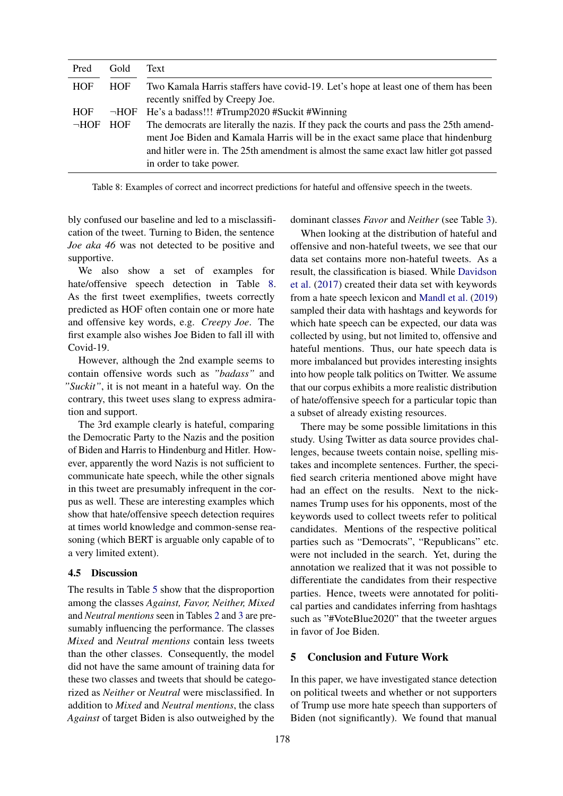<span id="page-7-0"></span>

| Pred       | Gold       | Text                                                                                                                                                                                                                                                                                            |
|------------|------------|-------------------------------------------------------------------------------------------------------------------------------------------------------------------------------------------------------------------------------------------------------------------------------------------------|
| HOF        | <b>HOF</b> | Two Kamala Harris staffers have covid-19. Let's hope at least one of them has been<br>recently sniffed by Creepy Joe.                                                                                                                                                                           |
| HOF        |            | $\neg$ HOF He's a badass!!! #Trump2020 #Suckit #Winning                                                                                                                                                                                                                                         |
| $\neg$ HOF | <b>HOF</b> | The democrats are literally the nazis. If they pack the courts and pass the 25th amend-<br>ment Joe Biden and Kamala Harris will be in the exact same place that hindenburg<br>and hitler were in. The 25th amendment is almost the same exact law hitler got passed<br>in order to take power. |

Table 8: Examples of correct and incorrect predictions for hateful and offensive speech in the tweets.

bly confused our baseline and led to a misclassification of the tweet. Turning to Biden, the sentence *Joe aka 46* was not detected to be positive and supportive.

We also show a set of examples for hate/offensive speech detection in Table [8.](#page-7-0) As the first tweet exemplifies, tweets correctly predicted as HOF often contain one or more hate and offensive key words, e.g. *Creepy Joe*. The first example also wishes Joe Biden to fall ill with Covid-19.

However, although the 2nd example seems to contain offensive words such as *"badass"* and *"Suckit"*, it is not meant in a hateful way. On the contrary, this tweet uses slang to express admiration and support.

The 3rd example clearly is hateful, comparing the Democratic Party to the Nazis and the position of Biden and Harris to Hindenburg and Hitler. However, apparently the word Nazis is not sufficient to communicate hate speech, while the other signals in this tweet are presumably infrequent in the corpus as well. These are interesting examples which show that hate/offensive speech detection requires at times world knowledge and common-sense reasoning (which BERT is arguable only capable of to a very limited extent).

## 4.5 Discussion

The results in Table [5](#page-4-3) show that the disproportion among the classes *Against, Favor, Neither, Mixed* and *Neutral mentions* seen in Tables [2](#page-3-0) and [3](#page-3-1) are presumably influencing the performance. The classes *Mixed* and *Neutral mentions* contain less tweets than the other classes. Consequently, the model did not have the same amount of training data for these two classes and tweets that should be categorized as *Neither* or *Neutral* were misclassified. In addition to *Mixed* and *Neutral mentions*, the class *Against* of target Biden is also outweighed by the

dominant classes *Favor* and *Neither* (see Table [3\)](#page-3-1).

When looking at the distribution of hateful and offensive and non-hateful tweets, we see that our data set contains more non-hateful tweets. As a result, the classification is biased. While [Davidson](#page-8-4) [et al.](#page-8-4) [\(2017\)](#page-8-4) created their data set with keywords from a hate speech lexicon and [Mandl et al.](#page-8-5) [\(2019\)](#page-8-5) sampled their data with hashtags and keywords for which hate speech can be expected, our data was collected by using, but not limited to, offensive and hateful mentions. Thus, our hate speech data is more imbalanced but provides interesting insights into how people talk politics on Twitter. We assume that our corpus exhibits a more realistic distribution of hate/offensive speech for a particular topic than a subset of already existing resources.

There may be some possible limitations in this study. Using Twitter as data source provides challenges, because tweets contain noise, spelling mistakes and incomplete sentences. Further, the specified search criteria mentioned above might have had an effect on the results. Next to the nicknames Trump uses for his opponents, most of the keywords used to collect tweets refer to political candidates. Mentions of the respective political parties such as "Democrats", "Republicans" etc. were not included in the search. Yet, during the annotation we realized that it was not possible to differentiate the candidates from their respective parties. Hence, tweets were annotated for political parties and candidates inferring from hashtags such as "#VoteBlue2020" that the tweeter argues in favor of Joe Biden.

# 5 Conclusion and Future Work

In this paper, we have investigated stance detection on political tweets and whether or not supporters of Trump use more hate speech than supporters of Biden (not significantly). We found that manual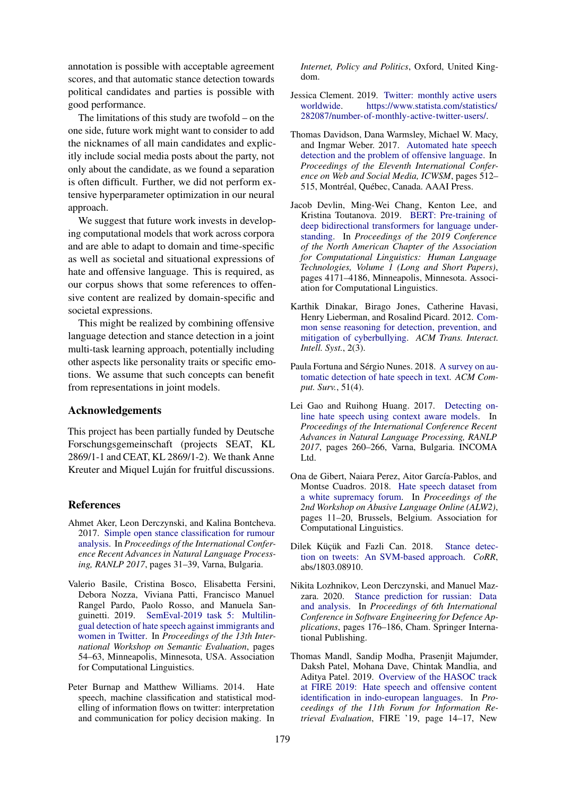annotation is possible with acceptable agreement scores, and that automatic stance detection towards political candidates and parties is possible with good performance.

The limitations of this study are twofold – on the one side, future work might want to consider to add the nicknames of all main candidates and explicitly include social media posts about the party, not only about the candidate, as we found a separation is often difficult. Further, we did not perform extensive hyperparameter optimization in our neural approach.

We suggest that future work invests in developing computational models that work across corpora and are able to adapt to domain and time-specific as well as societal and situational expressions of hate and offensive language. This is required, as our corpus shows that some references to offensive content are realized by domain-specific and societal expressions.

This might be realized by combining offensive language detection and stance detection in a joint multi-task learning approach, potentially including other aspects like personality traits or specific emotions. We assume that such concepts can benefit from representations in joint models.

#### Acknowledgements

This project has been partially funded by Deutsche Forschungsgemeinschaft (projects SEAT, KL 2869/1-1 and CEAT, KL 2869/1-2). We thank Anne Kreuter and Miquel Luján for fruitful discussions.

### References

- <span id="page-8-9"></span>Ahmet Aker, Leon Derczynski, and Kalina Bontcheva. 2017. [Simple open stance classification for rumour](https://doi.org/10.26615/978-954-452-049-6_005) [analysis.](https://doi.org/10.26615/978-954-452-049-6_005) In *Proceedings of the International Conference Recent Advances in Natural Language Processing, RANLP 2017*, pages 31–39, Varna, Bulgaria.
- <span id="page-8-7"></span>Valerio Basile, Cristina Bosco, Elisabetta Fersini, Debora Nozza, Viviana Patti, Francisco Manuel Rangel Pardo, Paolo Rosso, and Manuela Sanguinetti. 2019. [SemEval-2019 task 5: Multilin](https://doi.org/10.18653/v1/S19-2007)[gual detection of hate speech against immigrants and](https://doi.org/10.18653/v1/S19-2007) [women in Twitter.](https://doi.org/10.18653/v1/S19-2007) In *Proceedings of the 13th International Workshop on Semantic Evaluation*, pages 54–63, Minneapolis, Minnesota, USA. Association for Computational Linguistics.
- <span id="page-8-6"></span>Peter Burnap and Matthew Williams. 2014. Hate speech, machine classification and statistical modelling of information flows on twitter: interpretation and communication for policy decision making. In

*Internet, Policy and Politics*, Oxford, United Kingdom.

- <span id="page-8-0"></span>Jessica Clement. 2019. [Twitter: monthly active users](https://www.statista.com/statistics/282087/number-of-monthly-active-twitter-users/) [worldwide.](https://www.statista.com/statistics/282087/number-of-monthly-active-twitter-users/) [https://www.statista.com/statistics/](https://www.statista.com/statistics/282087/number-of-monthly-active-twitter-users/) [282087/number-of-monthly-active-twitter-users/.](https://www.statista.com/statistics/282087/number-of-monthly-active-twitter-users/)
- <span id="page-8-4"></span>Thomas Davidson, Dana Warmsley, Michael W. Macy, and Ingmar Weber. 2017. [Automated hate speech](https://aaai.org/ocs/index.php/ICWSM/ICWSM17/paper/view/15665) [detection and the problem of offensive language.](https://aaai.org/ocs/index.php/ICWSM/ICWSM17/paper/view/15665) In *Proceedings of the Eleventh International Conference on Web and Social Media, ICWSM*, pages 512– 515, Montréal, Québec, Canada. AAAI Press.
- <span id="page-8-12"></span>Jacob Devlin, Ming-Wei Chang, Kenton Lee, and Kristina Toutanova. 2019. [BERT: Pre-training of](https://doi.org/10.18653/v1/N19-1423) [deep bidirectional transformers for language under](https://doi.org/10.18653/v1/N19-1423)[standing.](https://doi.org/10.18653/v1/N19-1423) In *Proceedings of the 2019 Conference of the North American Chapter of the Association for Computational Linguistics: Human Language Technologies, Volume 1 (Long and Short Papers)*, pages 4171–4186, Minneapolis, Minnesota. Association for Computational Linguistics.
- <span id="page-8-3"></span>Karthik Dinakar, Birago Jones, Catherine Havasi, Henry Lieberman, and Rosalind Picard. 2012. [Com](https://doi.org/10.1145/2362394.2362400)[mon sense reasoning for detection, prevention, and](https://doi.org/10.1145/2362394.2362400) [mitigation of cyberbullying.](https://doi.org/10.1145/2362394.2362400) *ACM Trans. Interact. Intell. Syst.*, 2(3).
- <span id="page-8-8"></span>Paula Fortuna and Sérgio Nunes. 2018. [A survey on au](https://doi.org/10.1145/3232676)[tomatic detection of hate speech in text.](https://doi.org/10.1145/3232676) *ACM Comput. Surv.*, 51(4).
- <span id="page-8-1"></span>Lei Gao and Ruihong Huang. 2017. [Detecting on](https://doi.org/10.26615/978-954-452-049-6_036)[line hate speech using context aware models.](https://doi.org/10.26615/978-954-452-049-6_036) In *Proceedings of the International Conference Recent Advances in Natural Language Processing, RANLP 2017*, pages 260–266, Varna, Bulgaria. INCOMA Ltd.
- <span id="page-8-2"></span>Ona de Gibert, Naiara Perez, Aitor García-Pablos, and Montse Cuadros. 2018. [Hate speech dataset from](https://doi.org/10.18653/v1/W18-5102) [a white supremacy forum.](https://doi.org/10.18653/v1/W18-5102) In *Proceedings of the 2nd Workshop on Abusive Language Online (ALW2)*, pages 11–20, Brussels, Belgium. Association for Computational Linguistics.
- <span id="page-8-10"></span>Dilek Küçük and Fazli Can. 2018. [Stance detec](http://arxiv.org/abs/1803.08910)[tion on tweets: An SVM-based approach.](http://arxiv.org/abs/1803.08910) *CoRR*, abs/1803.08910.
- <span id="page-8-11"></span>Nikita Lozhnikov, Leon Derczynski, and Manuel Mazzara. 2020. [Stance prediction for russian: Data](https://doi.org/10.1007/978-3-030-14687-0_16) [and analysis.](https://doi.org/10.1007/978-3-030-14687-0_16) In *Proceedings of 6th International Conference in Software Engineering for Defence Applications*, pages 176–186, Cham. Springer International Publishing.
- <span id="page-8-5"></span>Thomas Mandl, Sandip Modha, Prasenjit Majumder, Daksh Patel, Mohana Dave, Chintak Mandlia, and Aditya Patel. 2019. [Overview of the HASOC track](https://doi.org/10.1145/3368567.3368584) [at FIRE 2019: Hate speech and offensive content](https://doi.org/10.1145/3368567.3368584) [identification in indo-european languages.](https://doi.org/10.1145/3368567.3368584) In *Proceedings of the 11th Forum for Information Retrieval Evaluation*, FIRE '19, page 14–17, New